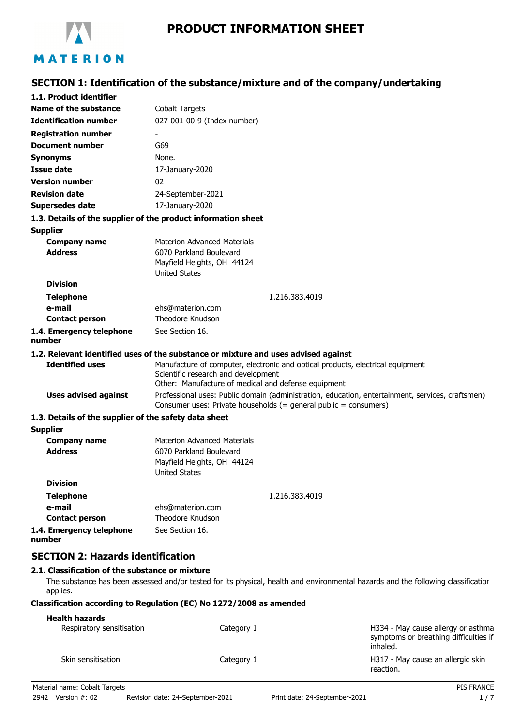

# **SECTION 1: Identification of the substance/mixture and of the company/undertaking**

| 1.1. Product identifier                                       |                                                                                                                                                                              |  |  |
|---------------------------------------------------------------|------------------------------------------------------------------------------------------------------------------------------------------------------------------------------|--|--|
| Name of the substance                                         | <b>Cobalt Targets</b>                                                                                                                                                        |  |  |
| <b>Identification number</b>                                  | 027-001-00-9 (Index number)                                                                                                                                                  |  |  |
| <b>Registration number</b>                                    |                                                                                                                                                                              |  |  |
| <b>Document number</b>                                        | G69                                                                                                                                                                          |  |  |
| <b>Synonyms</b>                                               | None.                                                                                                                                                                        |  |  |
| Issue date                                                    | 17-January-2020                                                                                                                                                              |  |  |
| <b>Version number</b>                                         | 02                                                                                                                                                                           |  |  |
| <b>Revision date</b>                                          | 24-September-2021                                                                                                                                                            |  |  |
| <b>Supersedes date</b>                                        | 17-January-2020                                                                                                                                                              |  |  |
| 1.3. Details of the supplier of the product information sheet |                                                                                                                                                                              |  |  |
| <b>Supplier</b>                                               |                                                                                                                                                                              |  |  |
| <b>Company name</b>                                           | <b>Materion Advanced Materials</b>                                                                                                                                           |  |  |
| <b>Address</b>                                                | 6070 Parkland Boulevard                                                                                                                                                      |  |  |
|                                                               | Mayfield Heights, OH 44124                                                                                                                                                   |  |  |
| <b>Division</b>                                               | <b>United States</b>                                                                                                                                                         |  |  |
|                                                               |                                                                                                                                                                              |  |  |
| <b>Telephone</b>                                              | 1.216.383.4019                                                                                                                                                               |  |  |
| e-mail<br><b>Contact person</b>                               | ehs@materion.com<br>Theodore Knudson                                                                                                                                         |  |  |
| 1.4. Emergency telephone                                      | See Section 16.                                                                                                                                                              |  |  |
| number                                                        |                                                                                                                                                                              |  |  |
|                                                               | 1.2. Relevant identified uses of the substance or mixture and uses advised against                                                                                           |  |  |
| <b>Identified uses</b>                                        | Manufacture of computer, electronic and optical products, electrical equipment<br>Scientific research and development<br>Other: Manufacture of medical and defense equipment |  |  |
| <b>Uses advised against</b>                                   | Professional uses: Public domain (administration, education, entertainment, services, craftsmen)<br>Consumer uses: Private households (= general public = consumers)         |  |  |
| 1.3. Details of the supplier of the safety data sheet         |                                                                                                                                                                              |  |  |
| <b>Supplier</b>                                               |                                                                                                                                                                              |  |  |
| <b>Company name</b>                                           | <b>Materion Advanced Materials</b>                                                                                                                                           |  |  |
| <b>Address</b>                                                | 6070 Parkland Boulevard                                                                                                                                                      |  |  |
|                                                               | Mayfield Heights, OH 44124<br><b>United States</b>                                                                                                                           |  |  |
| <b>Division</b>                                               |                                                                                                                                                                              |  |  |
| <b>Telephone</b>                                              | 1.216.383.4019                                                                                                                                                               |  |  |
| e-mail                                                        | ehs@materion.com                                                                                                                                                             |  |  |
| <b>Contact person</b>                                         | Theodore Knudson                                                                                                                                                             |  |  |
| 1.4. Emergency telephone                                      | See Section 16.                                                                                                                                                              |  |  |
| number                                                        |                                                                                                                                                                              |  |  |

## **SECTION 2: Hazards identification**

## **2.1. Classification of the substance or mixture**

The substance has been assessed and/or tested for its physical, health and environmental hazards and the following classification applies.

## **Classification according to Regulation (EC) No 1272/2008 as amended**

## **Health hazards**

| .<br>Respiratory sensitisation | Category 1 | H334 - May cause allergy or asthma<br>symptoms or breathing difficulties if<br>inhaled. |
|--------------------------------|------------|-----------------------------------------------------------------------------------------|
| Skin sensitisation             | Category 1 | H317 - May cause an allergic skin<br>reaction.                                          |
| Material name: Cobalt Targets  |            | <b>PIS FRANCE</b>                                                                       |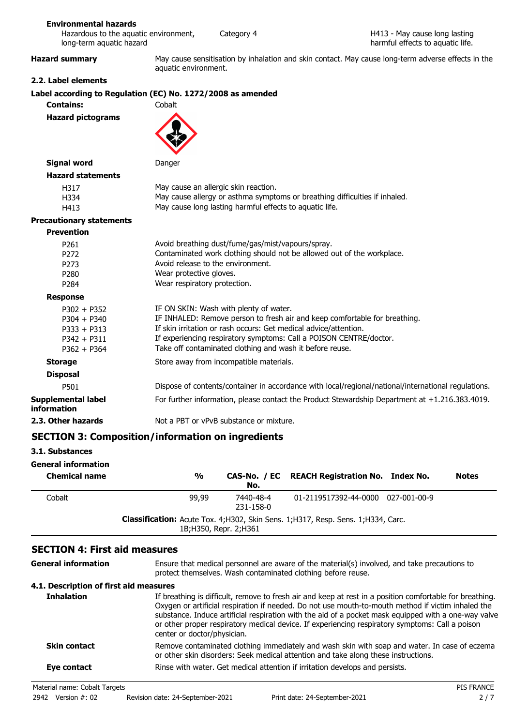## **Environmental hazards**

| Hazardous to the aguatic environment, | Ca |
|---------------------------------------|----|
| long-term aquatic hazard              |    |

tegory 4

**Hazard summary** May cause sensitisation by inhalation and skin contact. May cause long-term adverse effects in the aquatic environment.

## **2.2. Label elements**

# **Label according to Regulation (EC) No. 1272/2008 as amended**

|                                                                                   | Label according to Regulation (EC) No. 1272/2008 as amended                                                                                                                                                                                                                                                                |
|-----------------------------------------------------------------------------------|----------------------------------------------------------------------------------------------------------------------------------------------------------------------------------------------------------------------------------------------------------------------------------------------------------------------------|
| <b>Contains:</b>                                                                  | Cobalt                                                                                                                                                                                                                                                                                                                     |
| <b>Hazard pictograms</b>                                                          |                                                                                                                                                                                                                                                                                                                            |
| <b>Signal word</b>                                                                | Danger                                                                                                                                                                                                                                                                                                                     |
| <b>Hazard statements</b>                                                          |                                                                                                                                                                                                                                                                                                                            |
| H317<br>H334<br>H413                                                              | May cause an allergic skin reaction.<br>May cause allergy or asthma symptoms or breathing difficulties if inhaled.<br>May cause long lasting harmful effects to aquatic life.                                                                                                                                              |
| <b>Precautionary statements</b>                                                   |                                                                                                                                                                                                                                                                                                                            |
| <b>Prevention</b>                                                                 |                                                                                                                                                                                                                                                                                                                            |
| P <sub>261</sub><br>P <sub>272</sub><br>P273<br>P <sub>280</sub><br>P284          | Avoid breathing dust/fume/gas/mist/vapours/spray.<br>Contaminated work clothing should not be allowed out of the workplace.<br>Avoid release to the environment.<br>Wear protective gloves.<br>Wear respiratory protection.                                                                                                |
| <b>Response</b>                                                                   |                                                                                                                                                                                                                                                                                                                            |
| $P302 + P352$<br>$P304 + P340$<br>$P333 + P313$<br>$P342 + P311$<br>$P362 + P364$ | IF ON SKIN: Wash with plenty of water.<br>IF INHALED: Remove person to fresh air and keep comfortable for breathing.<br>If skin irritation or rash occurs: Get medical advice/attention.<br>If experiencing respiratory symptoms: Call a POISON CENTRE/doctor.<br>Take off contaminated clothing and wash it before reuse. |
| <b>Storage</b>                                                                    | Store away from incompatible materials.                                                                                                                                                                                                                                                                                    |
| <b>Disposal</b>                                                                   |                                                                                                                                                                                                                                                                                                                            |
| P501                                                                              | Dispose of contents/container in accordance with local/regional/national/international regulations.                                                                                                                                                                                                                        |
| <b>Supplemental label</b><br>information                                          | For further information, please contact the Product Stewardship Department at +1.216.383.4019.                                                                                                                                                                                                                             |
| 2.3. Other hazards                                                                | Not a PBT or yPvB substance or mixture.                                                                                                                                                                                                                                                                                    |

## **SECTION 3: Composition/information on ingredients**

#### **3.1. Substances**

| <b>General information</b><br><b>Chemical name</b> | $\frac{0}{0}$                                                                                                 | No.                    | CAS-No. / EC REACH Registration No. Index No. | <b>Notes</b> |
|----------------------------------------------------|---------------------------------------------------------------------------------------------------------------|------------------------|-----------------------------------------------|--------------|
| Cobalt                                             | 99,99                                                                                                         | 7440-48-4<br>231-158-0 | 01-2119517392-44-0000 027-001-00-9            |              |
|                                                    | Classification: Acute Tox. 4; H302, Skin Sens. 1; H317, Resp. Sens. 1; H334, Carc.<br>1B; H350, Repr. 2; H361 |                        |                                               |              |

## **SECTION 4: First aid measures**

| General information                    | Ensure that medical personnel are aware of the material(s) involved, and take precautions to<br>protect themselves. Wash contaminated clothing before reuse.                                                                                                                                                                                                                                                                                             |
|----------------------------------------|----------------------------------------------------------------------------------------------------------------------------------------------------------------------------------------------------------------------------------------------------------------------------------------------------------------------------------------------------------------------------------------------------------------------------------------------------------|
| 4.1. Description of first aid measures |                                                                                                                                                                                                                                                                                                                                                                                                                                                          |
| <b>Inhalation</b>                      | If breathing is difficult, remove to fresh air and keep at rest in a position comfortable for breathing.<br>Oxygen or artificial respiration if needed. Do not use mouth-to-mouth method if victim inhaled the<br>substance. Induce artificial respiration with the aid of a pocket mask equipped with a one-way valve<br>or other proper respiratory medical device. If experiencing respiratory symptoms: Call a poison<br>center or doctor/physician. |
| <b>Skin contact</b>                    | Remove contaminated clothing immediately and wash skin with soap and water. In case of eczema<br>or other skin disorders: Seek medical attention and take along these instructions.                                                                                                                                                                                                                                                                      |
| Eye contact                            | Rinse with water. Get medical attention if irritation develops and persists.                                                                                                                                                                                                                                                                                                                                                                             |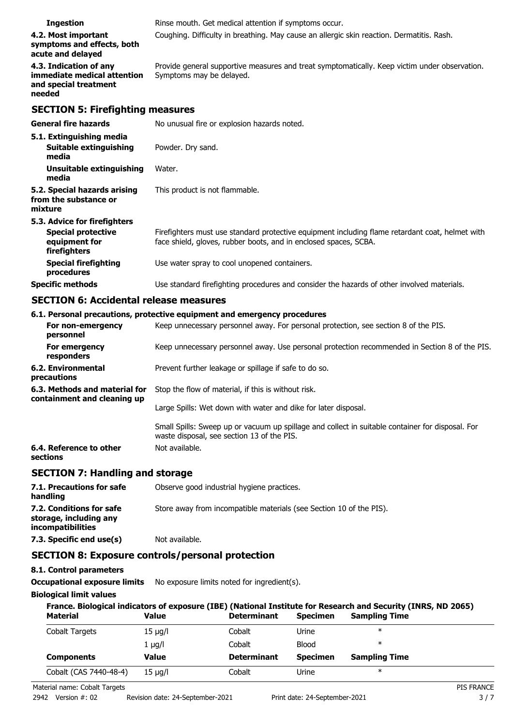| <b>Ingestion</b>                                                                         | Rinse mouth. Get medical attention if symptoms occur.                                                                                                               |  |  |
|------------------------------------------------------------------------------------------|---------------------------------------------------------------------------------------------------------------------------------------------------------------------|--|--|
| 4.2. Most important<br>symptoms and effects, both<br>acute and delayed                   | Coughing. Difficulty in breathing. May cause an allergic skin reaction. Dermatitis. Rash.                                                                           |  |  |
| 4.3. Indication of any<br>immediate medical attention<br>and special treatment<br>needed | Provide general supportive measures and treat symptomatically. Keep victim under observation.<br>Symptoms may be delayed.                                           |  |  |
| <b>SECTION 5: Firefighting measures</b>                                                  |                                                                                                                                                                     |  |  |
| <b>General fire hazards</b>                                                              | No unusual fire or explosion hazards noted.                                                                                                                         |  |  |
| 5.1. Extinguishing media                                                                 |                                                                                                                                                                     |  |  |
| <b>Suitable extinguishing</b><br>media                                                   | Powder. Dry sand.                                                                                                                                                   |  |  |
| Unsuitable extinguishing<br>media                                                        | Water.                                                                                                                                                              |  |  |
| 5.2. Special hazards arising<br>from the substance or<br>mixture                         | This product is not flammable.                                                                                                                                      |  |  |
| 5.3. Advice for firefighters                                                             |                                                                                                                                                                     |  |  |
| <b>Special protective</b><br>equipment for<br>firefighters                               | Firefighters must use standard protective equipment including flame retardant coat, helmet with<br>face shield, gloves, rubber boots, and in enclosed spaces, SCBA. |  |  |
| <b>Special firefighting</b><br>procedures                                                | Use water spray to cool unopened containers.                                                                                                                        |  |  |
| <b>Specific methods</b>                                                                  | Use standard firefighting procedures and consider the hazards of other involved materials.                                                                          |  |  |

# **SECTION 6: Accidental release measures**

|                                                              | 6.1. Personal precautions, protective equipment and emergency procedures                                                                       |
|--------------------------------------------------------------|------------------------------------------------------------------------------------------------------------------------------------------------|
| For non-emergency<br>personnel                               | Keep unnecessary personnel away. For personal protection, see section 8 of the PIS.                                                            |
| For emergency<br>responders                                  | Keep unnecessary personnel away. Use personal protection recommended in Section 8 of the PIS.                                                  |
| 6.2. Environmental<br>precautions                            | Prevent further leakage or spillage if safe to do so.                                                                                          |
| 6.3. Methods and material for<br>containment and cleaning up | Stop the flow of material, if this is without risk.                                                                                            |
|                                                              | Large Spills: Wet down with water and dike for later disposal.                                                                                 |
|                                                              | Small Spills: Sweep up or vacuum up spillage and collect in suitable container for disposal. For<br>waste disposal, see section 13 of the PIS. |
| 6.4. Reference to other<br>sections                          | Not available.                                                                                                                                 |
| SECTION 7: Handling and storage                              |                                                                                                                                                |

## **SECTION 7: Handling and storage**

| 7.1. Precautions for safe<br>handling                                          | Observe good industrial hygiene practices.                          |
|--------------------------------------------------------------------------------|---------------------------------------------------------------------|
| 7.2. Conditions for safe<br>storage, including any<br><i>incompatibilities</i> | Store away from incompatible materials (see Section 10 of the PIS). |
| 7.3. Specific end use(s)                                                       | Not available.                                                      |

## **SECTION 8: Exposure controls/personal protection**

## **8.1. Control parameters**

**Occupational exposure limits** No exposure limits noted for ingredient(s).

## **Biological limit values**

| France. Biological indicators of exposure (IBE) (National Institute for Research and Security (INRS, ND 2065) |              |                    |                 |                      |
|---------------------------------------------------------------------------------------------------------------|--------------|--------------------|-----------------|----------------------|
| <b>Material</b>                                                                                               | Value        | <b>Determinant</b> | <b>Specimen</b> | <b>Sampling Time</b> |
| Cobalt Targets                                                                                                | $15 \mu g/l$ | Cobalt             | Urine           | $\ast$               |
|                                                                                                               | $1 \mu g/l$  | Cobalt             | <b>Blood</b>    | $\ast$               |
| <b>Components</b>                                                                                             | Value        | <b>Determinant</b> | <b>Specimen</b> | <b>Sampling Time</b> |
| Cobalt (CAS 7440-48-4)                                                                                        | $15 \mu q/l$ | Cobalt             | Urine           | $\ast$               |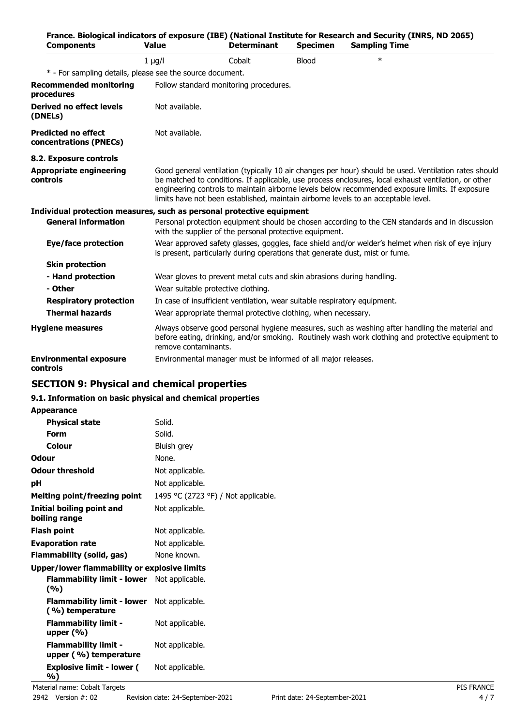| <b>Components</b>                                                     | <b>Value</b>                       | <b>Determinant</b>                                                           | <b>Specimen</b> | France. Biological indicators of exposure (IBE) (National Institute for Research and Security (INRS, ND 2065)<br><b>Sampling Time</b>                                                                                                                                                                                                                                                                  |
|-----------------------------------------------------------------------|------------------------------------|------------------------------------------------------------------------------|-----------------|--------------------------------------------------------------------------------------------------------------------------------------------------------------------------------------------------------------------------------------------------------------------------------------------------------------------------------------------------------------------------------------------------------|
|                                                                       | $1 \mu g/l$                        | Cobalt                                                                       | <b>Blood</b>    | $\ast$                                                                                                                                                                                                                                                                                                                                                                                                 |
| * - For sampling details, please see the source document.             |                                    |                                                                              |                 |                                                                                                                                                                                                                                                                                                                                                                                                        |
| <b>Recommended monitoring</b><br>procedures                           |                                    | Follow standard monitoring procedures.                                       |                 |                                                                                                                                                                                                                                                                                                                                                                                                        |
| <b>Derived no effect levels</b><br>(DNELs)                            | Not available.                     |                                                                              |                 |                                                                                                                                                                                                                                                                                                                                                                                                        |
| <b>Predicted no effect</b><br>concentrations (PNECs)                  | Not available.                     |                                                                              |                 |                                                                                                                                                                                                                                                                                                                                                                                                        |
| 8.2. Exposure controls                                                |                                    |                                                                              |                 |                                                                                                                                                                                                                                                                                                                                                                                                        |
| <b>Appropriate engineering</b><br>controls                            |                                    |                                                                              |                 | Good general ventilation (typically 10 air changes per hour) should be used. Ventilation rates should<br>be matched to conditions. If applicable, use process enclosures, local exhaust ventilation, or other<br>engineering controls to maintain airborne levels below recommended exposure limits. If exposure<br>limits have not been established, maintain airborne levels to an acceptable level. |
| Individual protection measures, such as personal protective equipment |                                    |                                                                              |                 |                                                                                                                                                                                                                                                                                                                                                                                                        |
| <b>General information</b>                                            |                                    | with the supplier of the personal protective equipment.                      |                 | Personal protection equipment should be chosen according to the CEN standards and in discussion                                                                                                                                                                                                                                                                                                        |
| Eye/face protection                                                   |                                    | is present, particularly during operations that generate dust, mist or fume. |                 | Wear approved safety glasses, goggles, face shield and/or welder's helmet when risk of eye injury                                                                                                                                                                                                                                                                                                      |
| <b>Skin protection</b>                                                |                                    |                                                                              |                 |                                                                                                                                                                                                                                                                                                                                                                                                        |
| - Hand protection                                                     |                                    | Wear gloves to prevent metal cuts and skin abrasions during handling.        |                 |                                                                                                                                                                                                                                                                                                                                                                                                        |
| - Other                                                               | Wear suitable protective clothing. |                                                                              |                 |                                                                                                                                                                                                                                                                                                                                                                                                        |
| <b>Respiratory protection</b>                                         |                                    | In case of insufficient ventilation, wear suitable respiratory equipment.    |                 |                                                                                                                                                                                                                                                                                                                                                                                                        |
| <b>Thermal hazards</b>                                                |                                    | Wear appropriate thermal protective clothing, when necessary.                |                 |                                                                                                                                                                                                                                                                                                                                                                                                        |
| <b>Hygiene measures</b>                                               | remove contaminants.               |                                                                              |                 | Always observe good personal hygiene measures, such as washing after handling the material and<br>before eating, drinking, and/or smoking. Routinely wash work clothing and protective equipment to                                                                                                                                                                                                    |
| <b>Environmental exposure</b><br>controls                             |                                    | Environmental manager must be informed of all major releases.                |                 |                                                                                                                                                                                                                                                                                                                                                                                                        |

# **SECTION 9: Physical and chemical properties**

## **9.1. Information on basic physical and chemical properties**

## **Appearance**

| <b>Physical state</b>                                                | Solid.                              |
|----------------------------------------------------------------------|-------------------------------------|
| Form                                                                 | Solid.                              |
| Colour                                                               | Bluish grey                         |
| <b>Odour</b>                                                         | None.                               |
| <b>Odour threshold</b>                                               | Not applicable.                     |
| рH                                                                   | Not applicable.                     |
| <b>Melting point/freezing point</b>                                  | 1495 °C (2723 °F) / Not applicable. |
| Initial boiling point and<br>boiling range                           | Not applicable.                     |
| <b>Flash point</b>                                                   | Not applicable.                     |
| <b>Evaporation rate</b>                                              | Not applicable.                     |
| Flammability (solid, gas)                                            | None known.                         |
| Upper/lower flammability or explosive limits                         |                                     |
| <b>Flammability limit - lower</b> Not applicable.<br>(%)             |                                     |
| <b>Flammability limit - lower</b> Not applicable.<br>(%) temperature |                                     |
| <b>Flammability limit -</b><br>upper $(\% )$                         | Not applicable.                     |
| <b>Flammability limit -</b><br>upper (%) temperature                 | Not applicable.                     |
| <b>Explosive limit - lower (</b>                                     | Not applicable.                     |

**%)**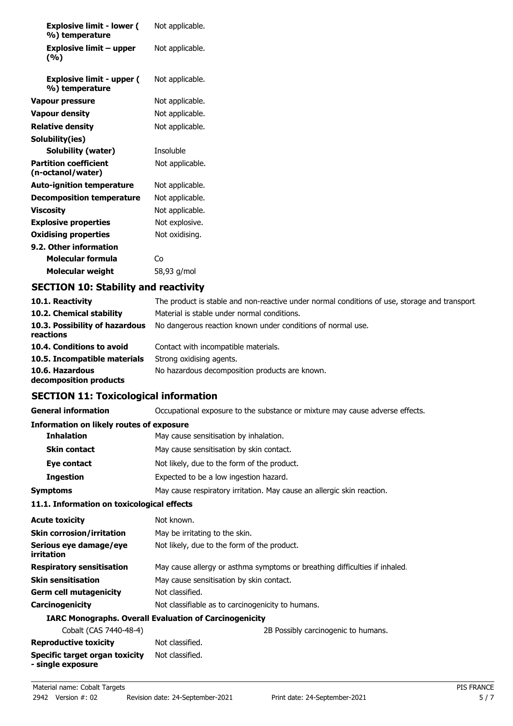| <b>Explosive limit - lower (</b><br>%) temperature | Not applicable. |
|----------------------------------------------------|-----------------|
| Explosive limit – upper<br>(%)                     | Not applicable. |
| <b>Explosive limit - upper (</b><br>%) temperature | Not applicable. |
| <b>Vapour pressure</b>                             | Not applicable. |
| <b>Vapour density</b>                              | Not applicable. |
| <b>Relative density</b>                            | Not applicable. |
| Solubility(ies)                                    |                 |
| Solubility (water)                                 | Insoluble       |
| <b>Partition coefficient</b><br>(n-octanol/water)  | Not applicable. |
| <b>Auto-ignition temperature</b>                   | Not applicable. |
| Decomposition temperature                          | Not applicable. |
| <b>Viscosity</b>                                   | Not applicable. |
| <b>Explosive properties</b>                        | Not explosive.  |
| <b>Oxidising properties</b>                        | Not oxidising.  |
| 9.2. Other information                             |                 |
| Molecular formula                                  | Co              |
| <b>Molecular weight</b>                            | 58,93 g/mol     |

# **SECTION 10: Stability and reactivity**

| 10.1. Reactivity                            | The product is stable and non-reactive under normal conditions of use, storage and transport. |
|---------------------------------------------|-----------------------------------------------------------------------------------------------|
| 10.2. Chemical stability                    | Material is stable under normal conditions.                                                   |
| 10.3. Possibility of hazardous<br>reactions | No dangerous reaction known under conditions of normal use.                                   |
| 10.4. Conditions to avoid                   | Contact with incompatible materials.                                                          |
| 10.5. Incompatible materials                | Strong oxidising agents.                                                                      |
| 10.6. Hazardous<br>decomposition products   | No hazardous decomposition products are known.                                                |

# **SECTION 11: Toxicological information**

| <b>General information</b>                      | Occupational exposure to the substance or mixture may cause adverse effects. |
|-------------------------------------------------|------------------------------------------------------------------------------|
| <b>Information on likely routes of exposure</b> |                                                                              |
| <b>Inhalation</b>                               | May cause sensitisation by inhalation.                                       |
| <b>Skin contact</b>                             | May cause sensitisation by skin contact.                                     |
| Eye contact                                     | Not likely, due to the form of the product.                                  |
| <b>Ingestion</b>                                | Expected to be a low ingestion hazard.                                       |
| <b>Symptoms</b>                                 | May cause respiratory irritation. May cause an allergic skin reaction.       |
| 11 1 Information on toxicological effects       |                                                                              |

#### **11.1. Information on toxicological effects**

| <b>Acute toxicity</b>                               | Not known.                                                                 |
|-----------------------------------------------------|----------------------------------------------------------------------------|
| <b>Skin corrosion/irritation</b>                    | May be irritating to the skin.                                             |
| Serious eye damage/eye<br>irritation                | Not likely, due to the form of the product.                                |
| <b>Respiratory sensitisation</b>                    | May cause allergy or asthma symptoms or breathing difficulties if inhaled. |
| <b>Skin sensitisation</b>                           | May cause sensitisation by skin contact.                                   |
| <b>Germ cell mutagenicity</b>                       | Not classified.                                                            |
| Carcinogenicity                                     | Not classifiable as to carcinogenicity to humans.                          |
|                                                     | <b>IARC Monographs. Overall Evaluation of Carcinogenicity</b>              |
| Cobalt (CAS 7440-48-4)                              | 2B Possibly carcinogenic to humans.                                        |
| <b>Reproductive toxicity</b>                        | Not classified.                                                            |
| Specific target organ toxicity<br>- single exposure | Not classified.                                                            |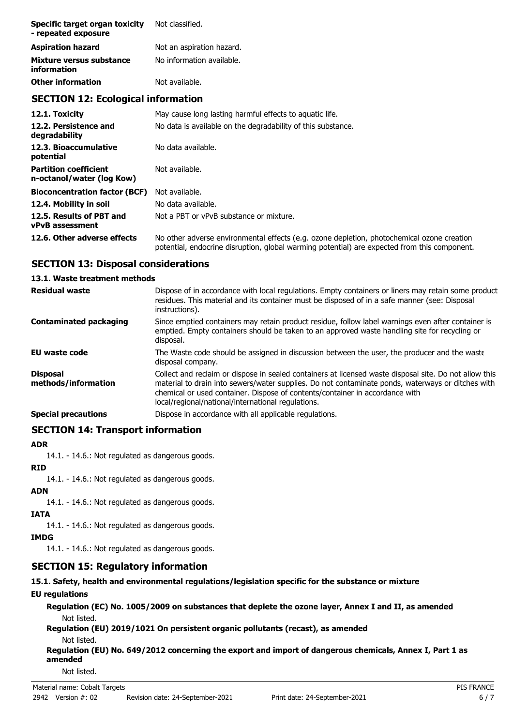| Specific target organ toxicity<br>- repeated exposure | Not classified.           |
|-------------------------------------------------------|---------------------------|
| <b>Aspiration hazard</b>                              | Not an aspiration hazard. |
| Mixture versus substance<br>information               | No information available. |
| <b>Other information</b>                              | Not available.            |

# **SECTION 12: Ecological information**

| 12.1. Toxicity                                            | May cause long lasting harmful effects to aguatic life.                                                                                                                                    |
|-----------------------------------------------------------|--------------------------------------------------------------------------------------------------------------------------------------------------------------------------------------------|
| 12.2. Persistence and<br>degradability                    | No data is available on the degradability of this substance.                                                                                                                               |
| 12.3. Bioaccumulative<br>potential                        | No data available.                                                                                                                                                                         |
| <b>Partition coefficient</b><br>n-octanol/water (log Kow) | Not available.                                                                                                                                                                             |
| <b>Bioconcentration factor (BCF)</b>                      | Not available.                                                                                                                                                                             |
| 12.4. Mobility in soil                                    | No data available.                                                                                                                                                                         |
| 12.5. Results of PBT and<br><b>vPvB</b> assessment        | Not a PBT or vPvB substance or mixture.                                                                                                                                                    |
| 12.6. Other adverse effects                               | No other adverse environmental effects (e.g. ozone depletion, photochemical ozone creation<br>potential, endocrine disruption, global warming potential) are expected from this component. |

# **SECTION 13: Disposal considerations**

## **13.1. Waste treatment methods**

| <b>Residual waste</b>                  | Dispose of in accordance with local regulations. Empty containers or liners may retain some product<br>residues. This material and its container must be disposed of in a safe manner (see: Disposal<br>instructions).                                                                                                                            |
|----------------------------------------|---------------------------------------------------------------------------------------------------------------------------------------------------------------------------------------------------------------------------------------------------------------------------------------------------------------------------------------------------|
| <b>Contaminated packaging</b>          | Since emptied containers may retain product residue, follow label warnings even after container is<br>emptied. Empty containers should be taken to an approved waste handling site for recycling or<br>disposal.                                                                                                                                  |
| EU waste code                          | The Waste code should be assigned in discussion between the user, the producer and the waste<br>disposal company.                                                                                                                                                                                                                                 |
| <b>Disposal</b><br>methods/information | Collect and reclaim or dispose in sealed containers at licensed waste disposal site. Do not allow this<br>material to drain into sewers/water supplies. Do not contaminate ponds, waterways or ditches with<br>chemical or used container. Dispose of contents/container in accordance with<br>local/regional/national/international regulations. |
| <b>Special precautions</b>             | Dispose in accordance with all applicable regulations.                                                                                                                                                                                                                                                                                            |

# **SECTION 14: Transport information**

#### **ADR**

14.1. - 14.6.: Not regulated as dangerous goods.

## **RID**

14.1. - 14.6.: Not regulated as dangerous goods.

## **ADN**

14.1. - 14.6.: Not regulated as dangerous goods.

## **IATA**

14.1. - 14.6.: Not regulated as dangerous goods.

## **IMDG**

14.1. - 14.6.: Not regulated as dangerous goods.

# **SECTION 15: Regulatory information**

**15.1. Safety, health and environmental regulations/legislation specific for the substance or mixture**

# **EU regulations**

**Regulation (EC) No. 1005/2009 on substances that deplete the ozone layer, Annex I and II, as amended** Not listed.

**Regulation (EU) 2019/1021 On persistent organic pollutants (recast), as amended** Not listed.

**Regulation (EU) No. 649/2012 concerning the export and import of dangerous chemicals, Annex I, Part 1 as amended**

Not listed.